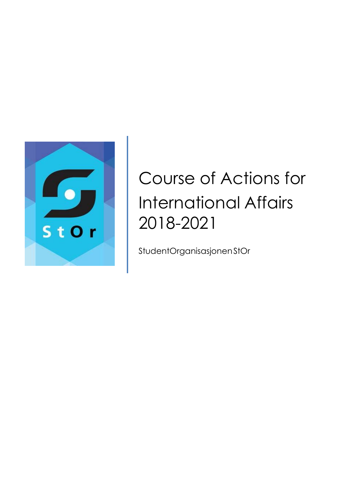

# Course of Actions for International Affairs 2018-2021

StudentOrganisasjonenStOr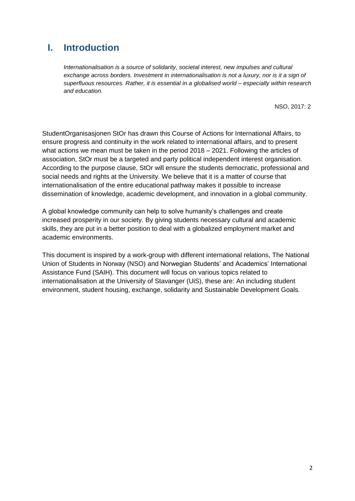## **I. Introduction**

*Internationalisation is a source of solidarity, societal interest, new impulses and cultural exchange across borders. Investment in internationalisation is not a luxury, nor is it a sign of superfluous resources. Rather, it is essential in a globalised world – especially within research and education.*

NSO, 2017: 2

StudentOrganisasjonen StOr has drawn this Course of Actions for International Affairs, to ensure progress and continuity in the work related to international affairs, and to present what actions we mean must be taken in the period 2018 – 2021. Following the articles of association, StOr must be a targeted and party political independent interest organisation. According to the purpose clause, StOr will ensure the students democratic, professional and social needs and rights at the University. We believe that it is a matter of course that internationalisation of the entire educational pathway makes it possible to increase dissemination of knowledge, academic development, and innovation in a global community.

A global knowledge community can help to solve humanity's challenges and create increased prosperity in our society. By giving students necessary cultural and academic skills, they are put in a better position to deal with a globalized employment market and academic environments.

This document is inspired by a work-group with different international relations, The National Union of Students in Norway (NSO) and Norwegian Students' and Academics' International Assistance Fund (SAIH). This document will focus on various topics related to internationalisation at the University of Stavanger (UiS), these are: An including student environment, student housing, exchange, solidarity and Sustainable Development Goals.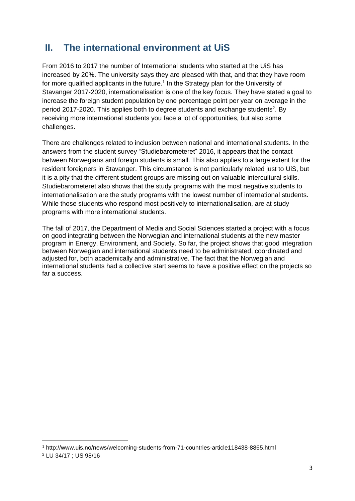# **II. The international environment at UiS**

From 2016 to 2017 the number of International students who started at the UiS has increased by 20%. The university says they are pleased with that, and that they have room for more qualified applicants in the future.<sup>1</sup> In the Strategy plan for the University of Stavanger 2017-2020, internationalisation is one of the key focus. They have stated a goal to increase the foreign student population by one percentage point per year on average in the period 2017-2020. This applies both to degree students and exchange students<sup>2</sup>. By receiving more international students you face a lot of opportunities, but also some challenges.

There are challenges related to inclusion between national and international students. In the answers from the student survey "Studiebarometeret" 2016, it appears that the contact between Norwegians and foreign students is small. This also applies to a large extent for the resident foreigners in Stavanger. This circumstance is not particularly related just to UiS, but it is a pity that the different student groups are missing out on valuable intercultural skills. Studiebarometeret also shows that the study programs with the most negative students to internationalisation are the study programs with the lowest number of international students. While those students who respond most positively to internationalisation, are at study programs with more international students.

The fall of 2017, the Department of Media and Social Sciences started a project with a focus on good integrating between the Norwegian and international students at the new master program in Energy, Environment, and Society. So far, the project shows that good integration between Norwegian and international students need to be administrated, coordinated and adjusted for, both academically and administrative. The fact that the Norwegian and international students had a collective start seems to have a positive effect on the projects so far a success.

<sup>1</sup> <sup>1</sup> http://www.uis.no/news/welcoming-students-from-71-countries-article118438-8865.html

<sup>2</sup> LU 34/17 ; US 98/16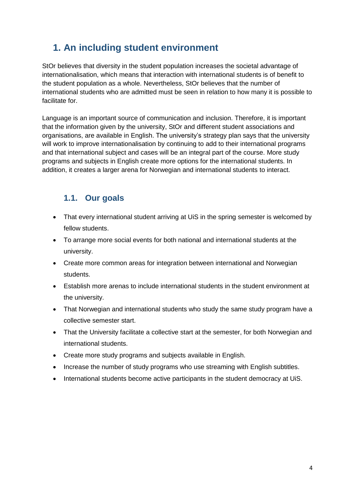# **1. An including student environment**

StOr believes that diversity in the student population increases the societal advantage of internationalisation, which means that interaction with international students is of benefit to the student population as a whole. Nevertheless, StOr believes that the number of international students who are admitted must be seen in relation to how many it is possible to facilitate for.

Language is an important source of communication and inclusion. Therefore, it is important that the information given by the university, StOr and different student associations and organisations, are available in English. The university's strategy plan says that the university will work to improve internationalisation by continuing to add to their international programs and that international subject and cases will be an integral part of the course. More study programs and subjects in English create more options for the international students. In addition, it creates a larger arena for Norwegian and international students to interact.

## **1.1. Our goals**

- That every international student arriving at UiS in the spring semester is welcomed by fellow students.
- To arrange more social events for both national and international students at the university.
- Create more common areas for integration between international and Norwegian students.
- Establish more arenas to include international students in the student environment at the university.
- That Norwegian and international students who study the same study program have a collective semester start.
- That the University facilitate a collective start at the semester, for both Norwegian and international students.
- Create more study programs and subiects available in English.
- Increase the number of study programs who use streaming with English subtitles.
- International students become active participants in the student democracy at UiS.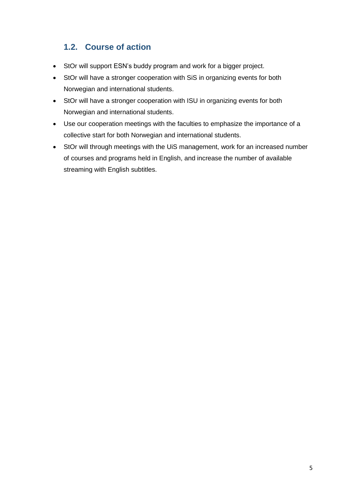- StOr will support ESN's buddy program and work for a bigger project.
- StOr will have a stronger cooperation with SiS in organizing events for both Norwegian and international students.
- StOr will have a stronger cooperation with ISU in organizing events for both Norwegian and international students.
- Use our cooperation meetings with the faculties to emphasize the importance of a collective start for both Norwegian and international students.
- StOr will through meetings with the UiS management, work for an increased number of courses and programs held in English, and increase the number of available streaming with English subtitles.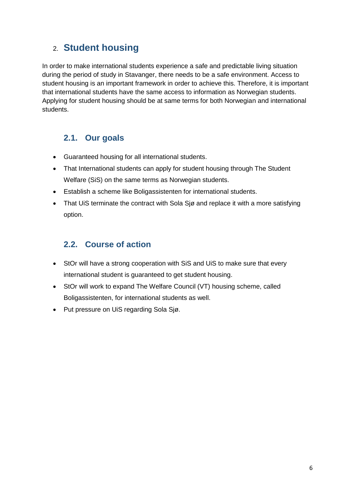## 2. **Student housing**

In order to make international students experience a safe and predictable living situation during the period of study in Stavanger, there needs to be a safe environment. Access to student housing is an important framework in order to achieve this. Therefore, it is important that international students have the same access to information as Norwegian students. Applying for student housing should be at same terms for both Norwegian and international students.

## **2.1. Our goals**

- Guaranteed housing for all international students.
- That International students can apply for student housing through The Student Welfare (SiS) on the same terms as Norwegian students.
- Establish a scheme like Boligassistenten for international students.
- That UiS terminate the contract with Sola Sjø and replace it with a more satisfying option.

- StOr will have a strong cooperation with SiS and UiS to make sure that every international student is guaranteed to get student housing.
- StOr will work to expand The Welfare Council (VT) housing scheme, called Boligassistenten, for international students as well.
- Put pressure on UiS regarding Sola Siø.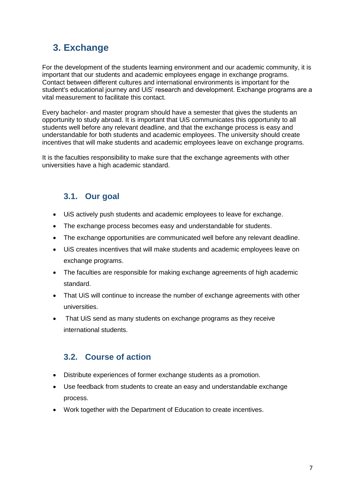# **3. Exchange**

For the development of the students learning environment and our academic community, it is important that our students and academic employees engage in exchange programs. Contact between different cultures and international environments is important for the student's educational journey and UiS' research and development. Exchange programs are a vital measurement to facilitate this contact.

Every bachelor- and master program should have a semester that gives the students an opportunity to study abroad. It is important that UiS communicates this opportunity to all students well before any relevant deadline, and that the exchange process is easy and understandable for both students and academic employees. The university should create incentives that will make students and academic employees leave on exchange programs.

It is the faculties responsibility to make sure that the exchange agreements with other universities have a high academic standard.

## **3.1. Our goal**

- UiS actively push students and academic employees to leave for exchange.
- The exchange process becomes easy and understandable for students.
- The exchange opportunities are communicated well before any relevant deadline.
- UiS creates incentives that will make students and academic employees leave on exchange programs.
- The faculties are responsible for making exchange agreements of high academic standard.
- That UiS will continue to increase the number of exchange agreements with other universities.
- That UiS send as many students on exchange programs as they receive international students.

- Distribute experiences of former exchange students as a promotion.
- Use feedback from students to create an easy and understandable exchange process.
- Work together with the Department of Education to create incentives.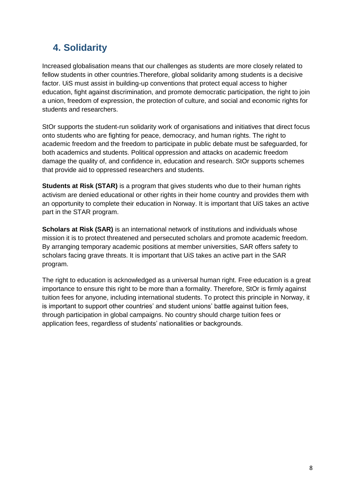# **4. Solidarity**

Increased globalisation means that our challenges as students are more closely related to fellow students in other countries.Therefore, global solidarity among students is a decisive factor. UiS must assist in building-up conventions that protect equal access to higher education, fight against discrimination, and promote democratic participation, the right to join a union, freedom of expression, the protection of culture, and social and economic rights for students and researchers.

StOr supports the student-run solidarity work of organisations and initiatives that direct focus onto students who are fighting for peace, democracy, and human rights. The right to academic freedom and the freedom to participate in public debate must be safeguarded, for both academics and students. Political oppression and attacks on academic freedom damage the quality of, and confidence in, education and research. StOr supports schemes that provide aid to oppressed researchers and students.

**Students at Risk (STAR)** is a program that gives students who due to their human rights activism are denied educational or other rights in their home country and provides them with an opportunity to complete their education in Norway. It is important that UiS takes an active part in the STAR program.

**Scholars at Risk (SAR)** is an international network of institutions and individuals whose mission it is to protect threatened and persecuted scholars and promote academic freedom. By arranging temporary academic positions at member universities, SAR offers safety to scholars facing grave threats. It is important that UiS takes an active part in the SAR program.

The right to education is acknowledged as a universal human right. Free education is a great importance to ensure this right to be more than a formality. Therefore, StOr is firmly against tuition fees for anyone, including international students. To protect this principle in Norway, it is important to support other countries' and student unions' battle against tuition fees, through participation in global campaigns. No country should charge tuition fees or application fees, regardless of students' nationalities or backgrounds.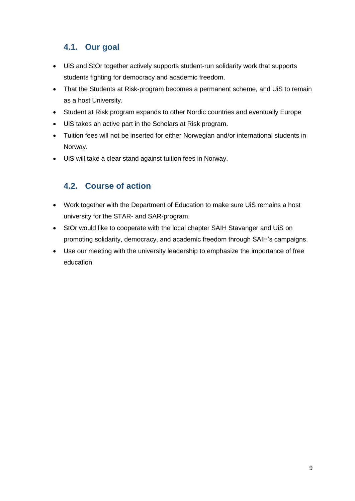## **4.1. Our goal**

- UiS and StOr together actively supports student-run solidarity work that supports students fighting for democracy and academic freedom.
- That the Students at Risk-program becomes a permanent scheme, and UiS to remain as a host University.
- Student at Risk program expands to other Nordic countries and eventually Europe
- UiS takes an active part in the Scholars at Risk program.
- Tuition fees will not be inserted for either Norwegian and/or international students in Norway.
- UiS will take a clear stand against tuition fees in Norway.

- Work together with the Department of Education to make sure UiS remains a host university for the STAR- and SAR-program.
- StOr would like to cooperate with the local chapter SAIH Stavanger and UiS on promoting solidarity, democracy, and academic freedom through SAIH's campaigns.
- Use our meeting with the university leadership to emphasize the importance of free education.